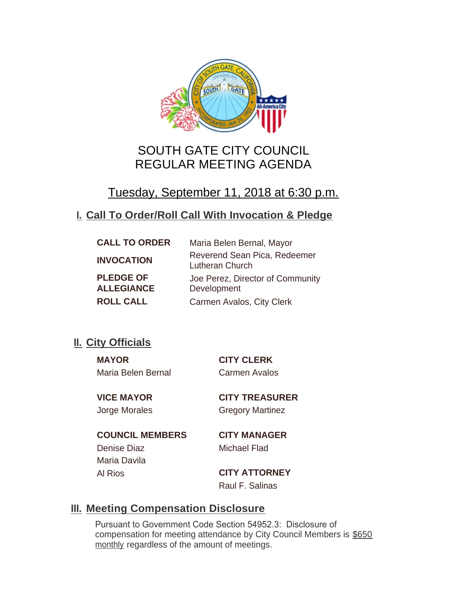

# SOUTH GATE CITY COUNCIL REGULAR MEETING AGENDA

# Tuesday, September 11, 2018 at 6:30 p.m.

# **Call To Order/Roll Call With Invocation & Pledge I.**

| <b>CALL TO ORDER</b> | Maria Belen Bernal, Mayor                       |
|----------------------|-------------------------------------------------|
| <b>INVOCATION</b>    | Reverend Sean Pica, Redeemer<br>Lutheran Church |
| <b>PLEDGE OF</b>     | Joe Perez, Director of Community                |
| <b>ALLEGIANCE</b>    | Development                                     |
| <b>ROLL CALL</b>     | Carmen Avalos, City Clerk                       |

# **II.** City Officials

**MAYOR CITY CLERK** Maria Belen Bernal Carmen Avalos

**VICE MAYOR CITY TREASURER** Jorge Morales Gregory Martinez

**COUNCIL MEMBERS CITY MANAGER** Denise Diaz Michael Flad Maria Davila

Al Rios **CITY ATTORNEY** Raul F. Salinas

# **Meeting Compensation Disclosure III.**

Pursuant to Government Code Section 54952.3: Disclosure of compensation for meeting attendance by City Council Members is \$650 monthly regardless of the amount of meetings.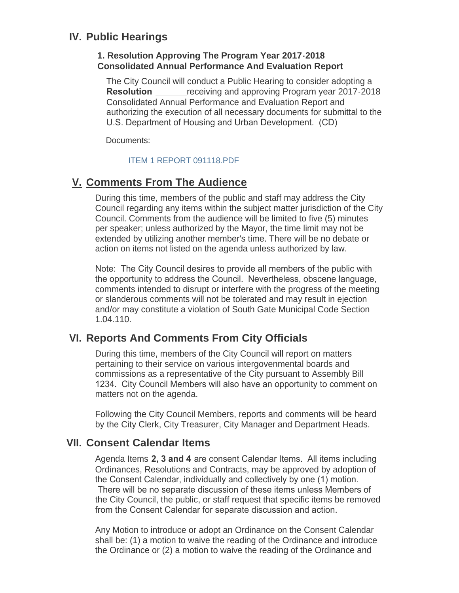# **IV. Public Hearings**

## **1. Resolution Approving The Program Year 2017-2018 Consolidated Annual Performance And Evaluation Report**

The City Council will conduct a Public Hearing to consider adopting a **Resolution receiving and approving Program year 2017-2018** Consolidated Annual Performance and Evaluation Report and authorizing the execution of all necessary documents for submittal to the U.S. Department of Housing and Urban Development. (CD)

Documents:

## [ITEM 1 REPORT 091118.PDF](http://ca-southgate.civicplus.com/AgendaCenter/ViewFile/Item/6441?fileID=12886)

# **Comments From The Audience V.**

During this time, members of the public and staff may address the City Council regarding any items within the subject matter jurisdiction of the City Council. Comments from the audience will be limited to five (5) minutes per speaker; unless authorized by the Mayor, the time limit may not be extended by utilizing another member's time. There will be no debate or action on items not listed on the agenda unless authorized by law.

Note: The City Council desires to provide all members of the public with the opportunity to address the Council. Nevertheless, obscene language, comments intended to disrupt or interfere with the progress of the meeting or slanderous comments will not be tolerated and may result in ejection and/or may constitute a violation of South Gate Municipal Code Section 1.04.110.

## **Reports And Comments From City Officials VI.**

During this time, members of the City Council will report on matters pertaining to their service on various intergovenmental boards and commissions as a representative of the City pursuant to Assembly Bill 1234. City Council Members will also have an opportunity to comment on matters not on the agenda.

Following the City Council Members, reports and comments will be heard by the City Clerk, City Treasurer, City Manager and Department Heads.

## **Consent Calendar Items VII.**

Agenda Items **2, 3 and 4** are consent Calendar Items. All items including Ordinances, Resolutions and Contracts, may be approved by adoption of the Consent Calendar, individually and collectively by one (1) motion. There will be no separate discussion of these items unless Members of the City Council, the public, or staff request that specific items be removed from the Consent Calendar for separate discussion and action.

Any Motion to introduce or adopt an Ordinance on the Consent Calendar shall be: (1) a motion to waive the reading of the Ordinance and introduce the Ordinance or (2) a motion to waive the reading of the Ordinance and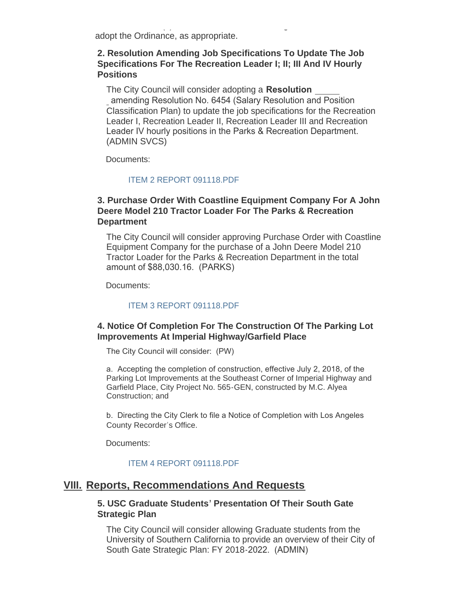$\frac{1}{2}$  a motion to waive the reading or  $\frac{1}{2}$ adopt the Ordinance, as appropriate.

## **2. Resolution Amending Job Specifications To Update The Job Specifications For The Recreation Leader I; II; III And IV Hourly Positions**

The City Council will consider adopting a **Resolution**  amending Resolution No. 6454 (Salary Resolution and Position Classification Plan) to update the job specifications for the Recreation Leader I, Recreation Leader II, Recreation Leader III and Recreation Leader IV hourly positions in the Parks & Recreation Department. (ADMIN SVCS)

Documents:

#### [ITEM 2 REPORT 091118.PDF](http://ca-southgate.civicplus.com/AgendaCenter/ViewFile/Item/6433?fileID=12879)

## **3. Purchase Order With Coastline Equipment Company For A John Deere Model 210 Tractor Loader For The Parks & Recreation Department**

The City Council will consider approving Purchase Order with Coastline Equipment Company for the purchase of a John Deere Model 210 Tractor Loader for the Parks & Recreation Department in the total amount of \$88,030.16. (PARKS)

Documents:

#### [ITEM 3 REPORT 091118.PDF](http://ca-southgate.civicplus.com/AgendaCenter/ViewFile/Item/6434?fileID=12880)

## **4. Notice Of Completion For The Construction Of The Parking Lot Improvements At Imperial Highway/Garfield Place**

The City Council will consider: (PW)

a. Accepting the completion of construction, effective July 2, 2018, of the Parking Lot Improvements at the Southeast Corner of Imperial Highway and Garfield Place, City Project No. 565-GEN, constructed by M.C. Alyea Construction; and

b. Directing the City Clerk to file a Notice of Completion with Los Angeles County Recorder's Office.

Documents:

#### [ITEM 4 REPORT 091118.PDF](http://ca-southgate.civicplus.com/AgendaCenter/ViewFile/Item/6435?fileID=12881)

## **Reports, Recommendations And Requests VIII.**

### **5. USC Graduate Students' Presentation Of Their South Gate Strategic Plan**

The City Council will consider allowing Graduate students from the University of Southern California to provide an overview of their City of South Gate Strategic Plan: FY 2018-2022. (ADMIN)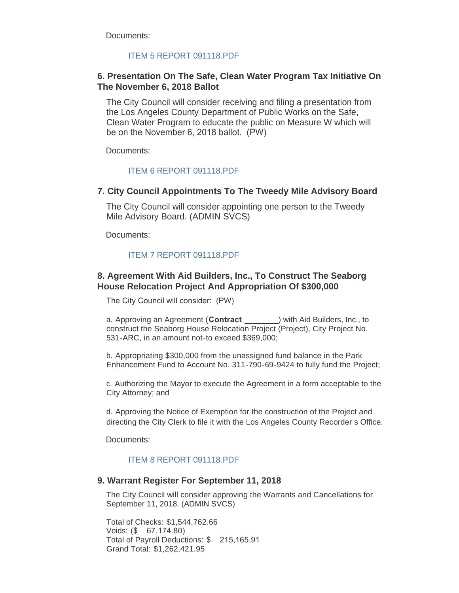Documents:

#### [ITEM 5 REPORT 091118.PDF](http://ca-southgate.civicplus.com/AgendaCenter/ViewFile/Item/6436?fileID=12882)

### **6. Presentation On The Safe, Clean Water Program Tax Initiative On The November 6, 2018 Ballot**

The City Council will consider receiving and filing a presentation from the Los Angeles County Department of Public Works on the Safe, Clean Water Program to educate the public on Measure W which will be on the November 6, 2018 ballot. (PW)

Documents:

#### [ITEM 6 REPORT 091118.PDF](http://ca-southgate.civicplus.com/AgendaCenter/ViewFile/Item/6445?fileID=12889)

#### **7. City Council Appointments To The Tweedy Mile Advisory Board**

The City Council will consider appointing one person to the Tweedy Mile Advisory Board. (ADMIN SVCS)

Documents:

#### [ITEM 7 REPORT 091118.PDF](http://ca-southgate.civicplus.com/AgendaCenter/ViewFile/Item/6437?fileID=12883)

### **8. Agreement With Aid Builders, Inc., To Construct The Seaborg House Relocation Project And Appropriation Of \$300,000**

The City Council will consider: (PW)

a. Approving an Agreement (Contract <u>equal</u>) with Aid Builders, Inc., to construct the Seaborg House Relocation Project (Project), City Project No. 531-ARC, in an amount not-to exceed \$369,000;

b. Appropriating \$300,000 from the unassigned fund balance in the Park Enhancement Fund to Account No. 311-790-69-9424 to fully fund the Project;

c. Authorizing the Mayor to execute the Agreement in a form acceptable to the City Attorney; and

d. Approving the Notice of Exemption for the construction of the Project and directing the City Clerk to file it with the Los Angeles County Recorder's Office.

Documents:

#### [ITEM 8 REPORT 091118.PDF](http://ca-southgate.civicplus.com/AgendaCenter/ViewFile/Item/6446?fileID=12888)

#### **9. Warrant Register For September 11, 2018**

The City Council will consider approving the Warrants and Cancellations for September 11, 2018. (ADMIN SVCS)

Total of Checks: \$1,544,762.66 Voids: (\$ 67,174.80) Total of Payroll Deductions: \$ 215,165.91 Grand Total: \$1,262,421.95